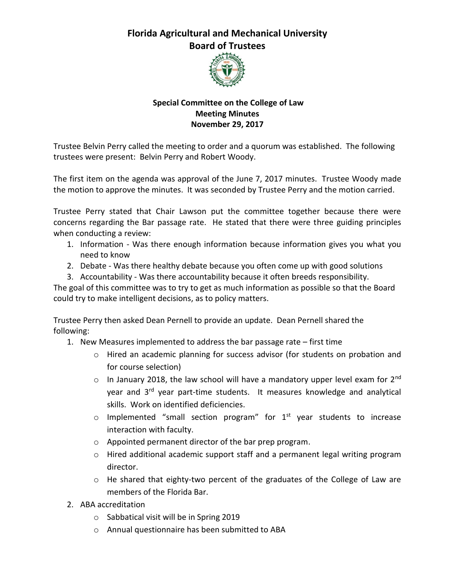## **Florida Agricultural and Mechanical University Board of Trustees**



## **Special Committee on the College of Law Meeting Minutes November 29, 2017**

Trustee Belvin Perry called the meeting to order and a quorum was established. The following trustees were present: Belvin Perry and Robert Woody.

The first item on the agenda was approval of the June 7, 2017 minutes. Trustee Woody made the motion to approve the minutes. It was seconded by Trustee Perry and the motion carried.

Trustee Perry stated that Chair Lawson put the committee together because there were concerns regarding the Bar passage rate. He stated that there were three guiding principles when conducting a review:

- 1. Information Was there enough information because information gives you what you need to know
- 2. Debate Was there healthy debate because you often come up with good solutions
- 3. Accountability Was there accountability because it often breeds responsibility.

The goal of this committee was to try to get as much information as possible so that the Board could try to make intelligent decisions, as to policy matters.

Trustee Perry then asked Dean Pernell to provide an update. Dean Pernell shared the following:

- 1. New Measures implemented to address the bar passage rate first time
	- o Hired an academic planning for success advisor (for students on probation and for course selection)
	- $\circ$  In January 2018, the law school will have a mandatory upper level exam for 2<sup>nd</sup> year and 3<sup>rd</sup> year part-time students. It measures knowledge and analytical skills. Work on identified deficiencies.
	- $\circ$  Implemented "small section program" for  $1^{st}$  year students to increase interaction with faculty.
	- o Appointed permanent director of the bar prep program.
	- $\circ$  Hired additional academic support staff and a permanent legal writing program director.
	- o He shared that eighty-two percent of the graduates of the College of Law are members of the Florida Bar.
- 2. ABA accreditation
	- o Sabbatical visit will be in Spring 2019
	- o Annual questionnaire has been submitted to ABA